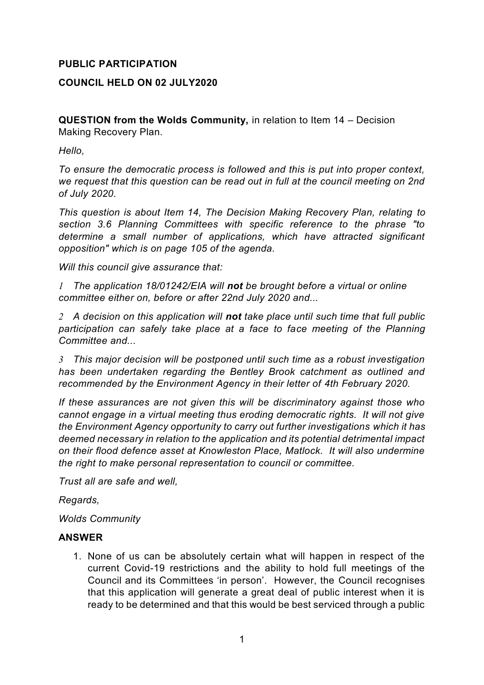## **PUBLIC PARTICIPATION**

## **COUNCIL HELD ON 02 JULY2020**

**QUESTION from the Wolds Community,** in relation to Item 14 – Decision Making Recovery Plan.

*Hello,* 

*To ensure the democratic process is followed and this is put into proper context, we request that this question can be read out in full at the council meeting on 2nd of July 2020.* 

*This question is about Item 14, The Decision Making Recovery Plan, relating to section 3.6 Planning Committees with specific reference to the phrase "to determine a small number of applications, which have attracted significant opposition" which is on page 105 of the agenda.* 

*Will this council give assurance that:* 

*1 The application 18/01242/EIA will not be brought before a virtual or online committee either on, before or after 22nd July 2020 and...*

*2 A decision on this application will not take place until such time that full public participation can safely take place at a face to face meeting of the Planning Committee and...* 

*3 This major decision will be postponed until such time as a robust investigation has been undertaken regarding the Bentley Brook catchment as outlined and recommended by the Environment Agency in their letter of 4th February 2020.* 

*If these assurances are not given this will be discriminatory against those who cannot engage in a virtual meeting thus eroding democratic rights. It will not give the Environment Agency opportunity to carry out further investigations which it has deemed necessary in relation to the application and its potential detrimental impact on their flood defence asset at Knowleston Place, Matlock. It will also undermine the right to make personal representation to council or committee.* 

*Trust all are safe and well,* 

*Regards,* 

*Wolds Community*

#### **ANSWER**

1. None of us can be absolutely certain what will happen in respect of the current Covid-19 restrictions and the ability to hold full meetings of the Council and its Committees 'in person'. However, the Council recognises that this application will generate a great deal of public interest when it is ready to be determined and that this would be best serviced through a public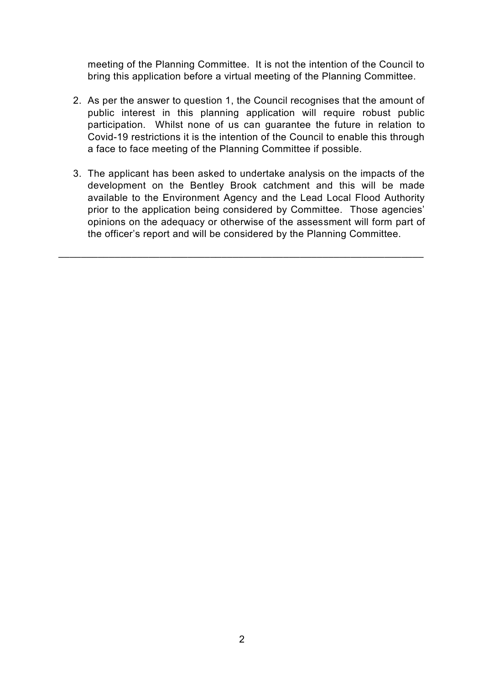meeting of the Planning Committee. It is not the intention of the Council to bring this application before a virtual meeting of the Planning Committee.

- 2. As per the answer to question 1, the Council recognises that the amount of public interest in this planning application will require robust public participation. Whilst none of us can guarantee the future in relation to Covid-19 restrictions it is the intention of the Council to enable this through a face to face meeting of the Planning Committee if possible.
- 3. The applicant has been asked to undertake analysis on the impacts of the development on the Bentley Brook catchment and this will be made available to the Environment Agency and the Lead Local Flood Authority prior to the application being considered by Committee. Those agencies' opinions on the adequacy or otherwise of the assessment will form part of the officer's report and will be considered by the Planning Committee.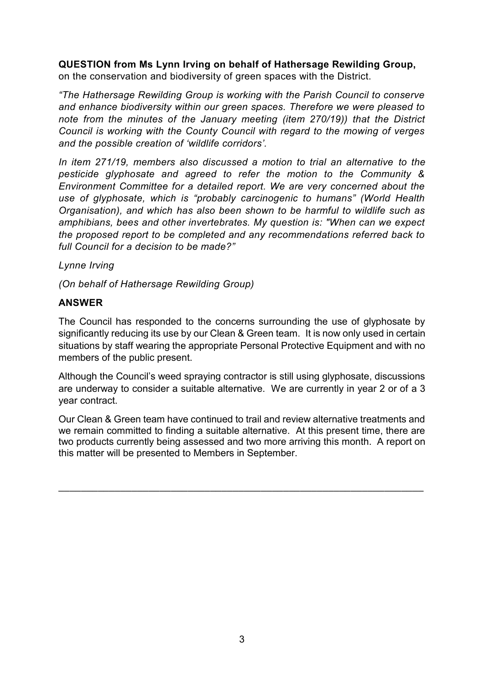# **QUESTION from Ms Lynn Irving on behalf of Hathersage Rewilding Group,**

on the conservation and biodiversity of green spaces with the District.

*"The Hathersage Rewilding Group is working with the Parish Council to conserve and enhance biodiversity within our green spaces. Therefore we were pleased to note from the minutes of the January meeting (item 270/19)) that the District Council is working with the County Council with regard to the mowing of verges and the possible creation of 'wildlife corridors'.* 

*In item 271/19, members also discussed a motion to trial an alternative to the pesticide glyphosate and agreed to refer the motion to the Community & Environment Committee for a detailed report. We are very concerned about the use of glyphosate, which is "probably carcinogenic to humans" (World Health Organisation), and which has also been shown to be harmful to wildlife such as amphibians, bees and other invertebrates. My question is: "When can we expect the proposed report to be completed and any recommendations referred back to full Council for a decision to be made?"*

### *Lynne Irving*

*(On behalf of Hathersage Rewilding Group)*

## **ANSWER**

The Council has responded to the concerns surrounding the use of glyphosate by significantly reducing its use by our Clean & Green team. It is now only used in certain situations by staff wearing the appropriate Personal Protective Equipment and with no members of the public present.

Although the Council's weed spraying contractor is still using glyphosate, discussions are underway to consider a suitable alternative. We are currently in year 2 or of a 3 year contract.

Our Clean & Green team have continued to trail and review alternative treatments and we remain committed to finding a suitable alternative. At this present time, there are two products currently being assessed and two more arriving this month. A report on this matter will be presented to Members in September.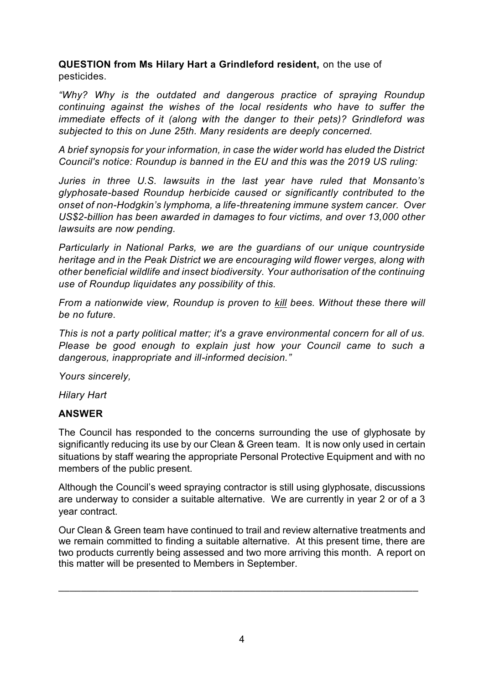**QUESTION from Ms Hilary Hart a Grindleford resident,** on the use of pesticides.

*"Why? Why is the outdated and dangerous practice of spraying Roundup continuing against the wishes of the local residents who have to suffer the immediate effects of it (along with the danger to their pets)? Grindleford was subjected to this on June 25th. Many residents are deeply concerned.*

*A brief synopsis for your information, in case the wider world has eluded the District Council's notice: Roundup is banned in the EU and this was the 2019 US ruling:*

*Juries in three U.S. lawsuits in the last year have ruled that Monsanto's glyphosate-based Roundup herbicide caused or significantly contributed to the onset of non-Hodgkin's lymphoma, a life-threatening immune system cancer. Over US\$2-billion has been awarded in damages to four victims, and over 13,000 other lawsuits are now pending.*

*Particularly in National Parks, we are the guardians of our unique countryside heritage and in the Peak District we are encouraging wild flower verges, along with other beneficial wildlife and insect biodiversity. Your authorisation of the continuing use of Roundup liquidates any possibility of this.* 

*From a nationwide view, Roundup is proven to kill bees. Without these there will be no future.*

*This is not a party political matter; it's a grave environmental concern for all of us. Please be good enough to explain just how your Council came to such a dangerous, inappropriate and ill-informed decision."*

*Yours sincerely,*

*Hilary Hart*

## **ANSWER**

The Council has responded to the concerns surrounding the use of glyphosate by significantly reducing its use by our Clean & Green team. It is now only used in certain situations by staff wearing the appropriate Personal Protective Equipment and with no members of the public present.

Although the Council's weed spraying contractor is still using glyphosate, discussions are underway to consider a suitable alternative. We are currently in year 2 or of a 3 year contract.

Our Clean & Green team have continued to trail and review alternative treatments and we remain committed to finding a suitable alternative. At this present time, there are two products currently being assessed and two more arriving this month. A report on this matter will be presented to Members in September.